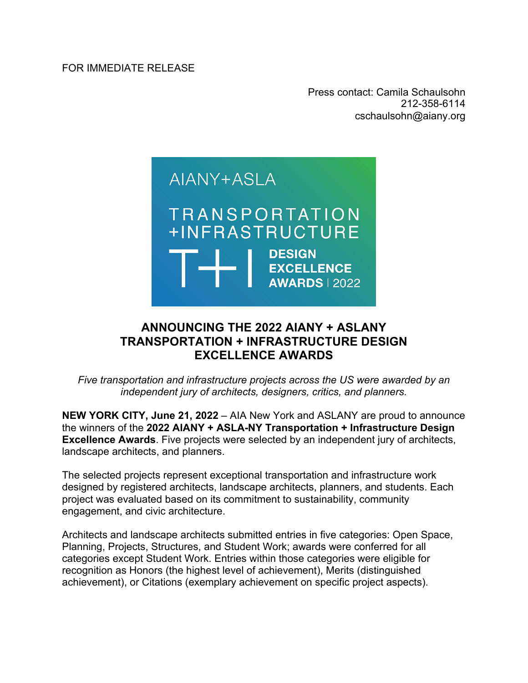FOR IMMEDIATE RELEASE

Press contact: Camila Schaulsohn 212-358-6114 cschaulsohn@aiany.org



# **ANNOUNCING THE 2022 AIANY + ASLANY TRANSPORTATION + INFRASTRUCTURE DESIGN EXCELLENCE AWARDS**

*Five transportation and infrastructure projects across the US were awarded by an independent jury of architects, designers, critics, and planners.*

**NEW YORK CITY, June 21, 2022** – AIA New York and ASLANY are proud to announce the winners of the **2022 AIANY + ASLA-NY Transportation + Infrastructure Design Excellence Awards**. Five projects were selected by an independent jury of architects, landscape architects, and planners.

The selected projects represent exceptional transportation and infrastructure work designed by registered architects, landscape architects, planners, and students. Each project was evaluated based on its commitment to sustainability, community engagement, and civic architecture.

Architects and landscape architects submitted entries in five categories: Open Space, Planning, Projects, Structures, and Student Work; awards were conferred for all categories except Student Work. Entries within those categories were eligible for recognition as Honors (the highest level of achievement), Merits (distinguished achievement), or Citations (exemplary achievement on specific project aspects).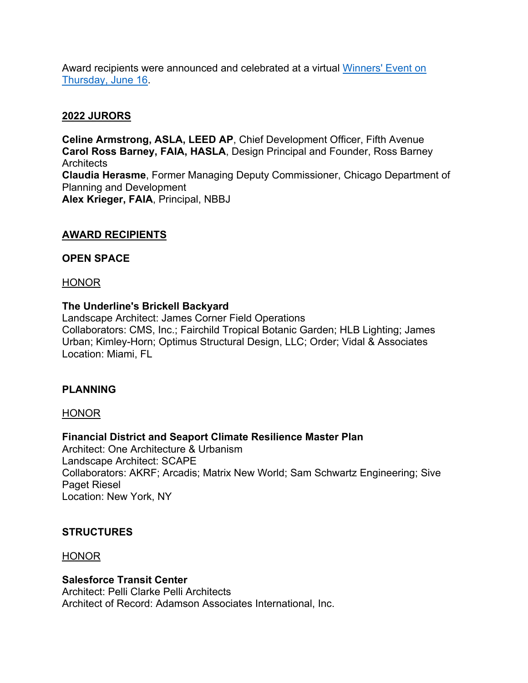Award recipients were announced and celebrated at a virtual Winners' Event on Thursday, June 16.

### **2022 JURORS**

**Celine Armstrong, ASLA, LEED AP**, Chief Development Officer, Fifth Avenue **Carol Ross Barney, FAIA, HASLA**, Design Principal and Founder, Ross Barney **Architects Claudia Herasme**, Former Managing Deputy Commissioner, Chicago Department of Planning and Development **Alex Krieger, FAIA**, Principal, NBBJ

### **AWARD RECIPIENTS**

#### **OPEN SPACE**

#### HONOR

### **The Underline's Brickell Backyard**

Landscape Architect: James Corner Field Operations Collaborators: CMS, Inc.; Fairchild Tropical Botanic Garden; HLB Lighting; James Urban; Kimley-Horn; Optimus Structural Design, LLC; Order; Vidal & Associates Location: Miami, FL

### **PLANNING**

#### HONOR

### **Financial District and Seaport Climate Resilience Master Plan**

Architect: One Architecture & Urbanism Landscape Architect: SCAPE Collaborators: AKRF; Arcadis; Matrix New World; Sam Schwartz Engineering; Sive Paget Riesel Location: New York, NY

### **STRUCTURES**

#### HONOR

### **Salesforce Transit Center**

Architect: Pelli Clarke Pelli Architects Architect of Record: Adamson Associates International, Inc.